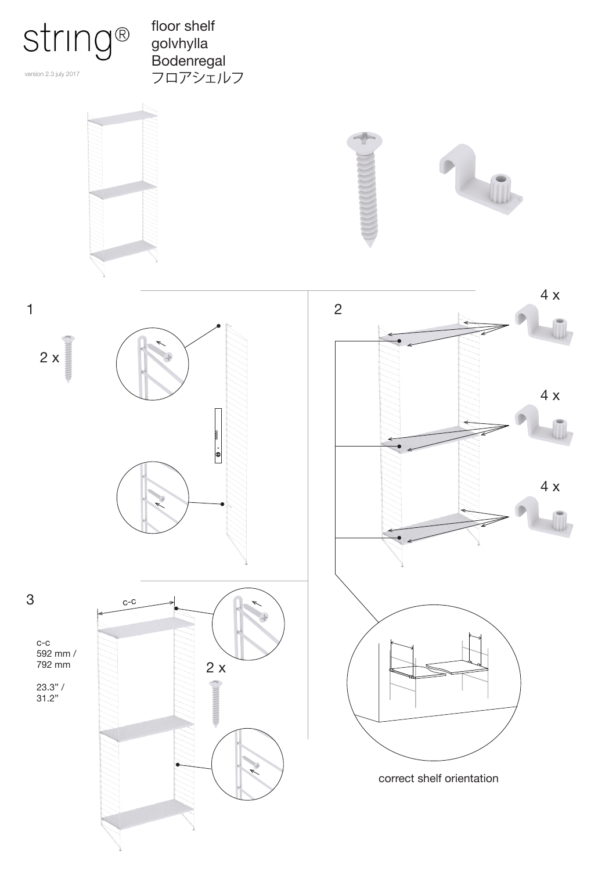

version 2.3 july 2017

floor shelf golvhylla Bodenregal フロアシェルフ